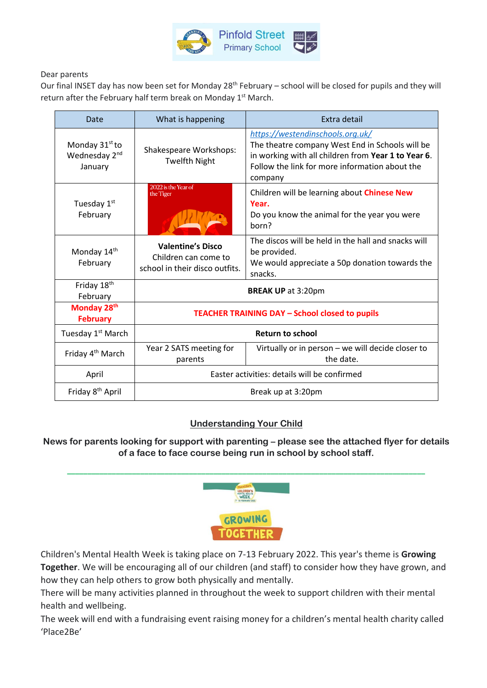

#### Dear parents

Our final INSET day has now been set for Monday 28<sup>th</sup> February – school will be closed for pupils and they will return after the February half term break on Monday 1<sup>st</sup> March.

| Date                                                               | What is happening                                                                  | Extra detail                                                                                                                                                                                            |
|--------------------------------------------------------------------|------------------------------------------------------------------------------------|---------------------------------------------------------------------------------------------------------------------------------------------------------------------------------------------------------|
| Monday 31 <sup>st</sup> to<br>Wednesday 2 <sup>nd</sup><br>January | Shakespeare Workshops:<br><b>Twelfth Night</b>                                     | https://westendinschools.org.uk/<br>The theatre company West End in Schools will be<br>in working with all children from Year 1 to Year 6.<br>Follow the link for more information about the<br>company |
| Tuesday 1st<br>February                                            | 2022 is the Year of<br>the Tiger                                                   | Children will be learning about <b>Chinese New</b><br>Year.<br>Do you know the animal for the year you were<br>horn?                                                                                    |
| Monday 14th<br>February                                            | <b>Valentine's Disco</b><br>Children can come to<br>school in their disco outfits. | The discos will be held in the hall and snacks will<br>be provided.<br>We would appreciate a 50p donation towards the<br>snacks.                                                                        |
| Friday 18th<br>February                                            | <b>BREAK UP at 3:20pm</b>                                                          |                                                                                                                                                                                                         |
| Monday 28th<br><b>February</b>                                     | <b>TEACHER TRAINING DAY - School closed to pupils</b>                              |                                                                                                                                                                                                         |
| Tuesday 1 <sup>st</sup> March                                      | <b>Return to school</b>                                                            |                                                                                                                                                                                                         |
| Friday 4 <sup>th</sup> March                                       | Year 2 SATS meeting for<br>parents                                                 | Virtually or in person - we will decide closer to<br>the date.                                                                                                                                          |
| April                                                              | Easter activities: details will be confirmed                                       |                                                                                                                                                                                                         |
| Friday 8 <sup>th</sup> April                                       | Break up at 3:20pm                                                                 |                                                                                                                                                                                                         |

### **Understanding Your Child**

News for parents looking for support with parenting – please see the attached flyer for details **of a face to face course being run in school by school staff.** 



Children's Mental Health Week is taking place on 7-13 February 2022. This year's theme is **Growing Together**. We will be encouraging all of our children (and staff) to consider how they have grown, and how they can help others to grow both physically and mentally.

There will be many activities planned in throughout the week to support children with their mental health and wellbeing.

The week will end with a fundraising event raising money for a children's mental health charity called 'Place2Be'